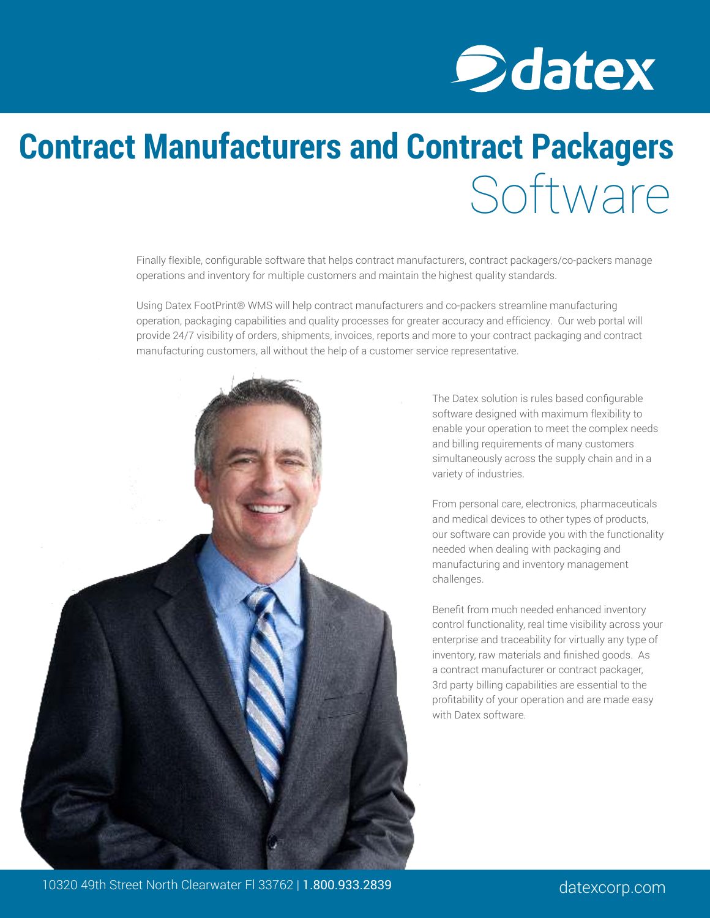

# **Contract Manufacturers and Contract Packagers** Software

Finally flexible, configurable software that helps contract manufacturers, contract packagers/co-packers manage operations and inventory for multiple customers and maintain the highest quality standards.

Using Datex FootPrint® WMS will help contract manufacturers and co-packers streamline manufacturing operation, packaging capabilities and quality processes for greater accuracy and efficiency. Our web portal will provide 24/7 visibility of orders, shipments, invoices, reports and more to your contract packaging and contract manufacturing customers, all without the help of a customer service representative.



The Datex solution is rules based configurable software designed with maximum flexibility to enable your operation to meet the complex needs and billing requirements of many customers simultaneously across the supply chain and in a variety of industries.

From personal care, electronics, pharmaceuticals and medical devices to other types of products, our software can provide you with the functionality needed when dealing with packaging and manufacturing and inventory management challenges.

Benefit from much needed enhanced inventory control functionality, real time visibility across your enterprise and traceability for virtually any type of inventory, raw materials and finished goods. As a contract manufacturer or contract packager, 3rd party billing capabilities are essential to the profitability of your operation and are made easy with Datex software.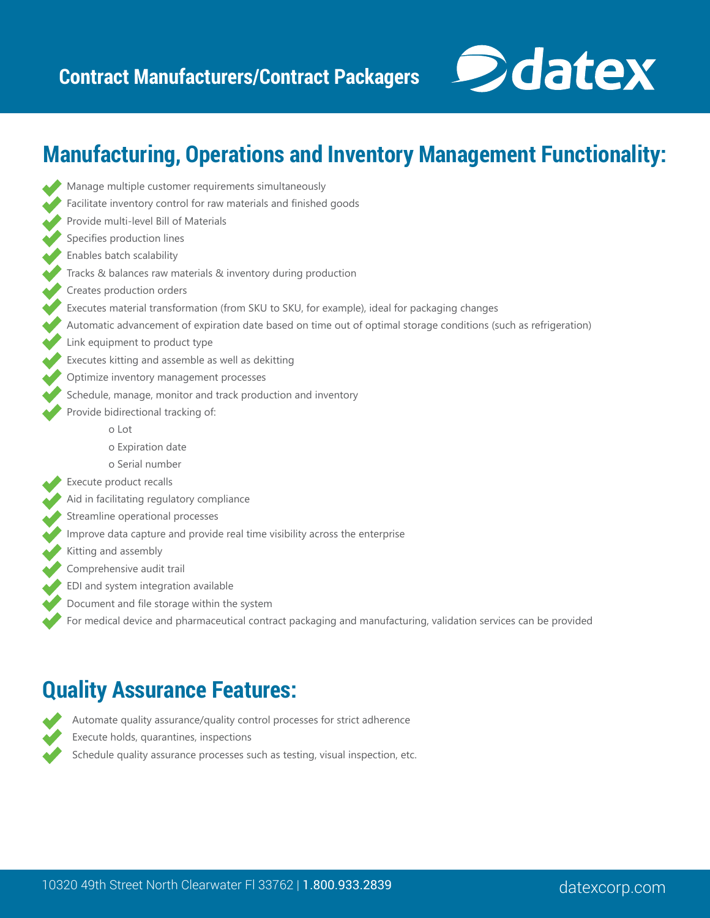Manage multiple customer requirements simultaneously



## **Manufacturing, Operations and Inventory Management Functionality:**

- Facilitate inventory control for raw materials and finished goods Provide multi-level Bill of Materials Specifies production lines Enables batch scalability Tracks & balances raw materials & inventory during production Creates production orders Executes material transformation (from SKU to SKU, for example), ideal for packaging changes Automatic advancement of expiration date based on time out of optimal storage conditions (such as refrigeration) Link equipment to product type Executes kitting and assemble as well as dekitting Optimize inventory management processes Schedule, manage, monitor and track production and inventory Provide bidirectional tracking of: o Lot o Expiration date o Serial number Execute product recalls Aid in facilitating regulatory compliance Streamline operational processes Improve data capture and provide real time visibility across the enterprise Kitting and assembly Comprehensive audit trail EDI and system integration available Document and file storage within the system
	- For medical device and pharmaceutical contract packaging and manufacturing, validation services can be provided

### **Quality Assurance Features:**



Automate quality assurance/quality control processes for strict adherence

- Execute holds, quarantines, inspections
- Schedule quality assurance processes such as testing, visual inspection, etc.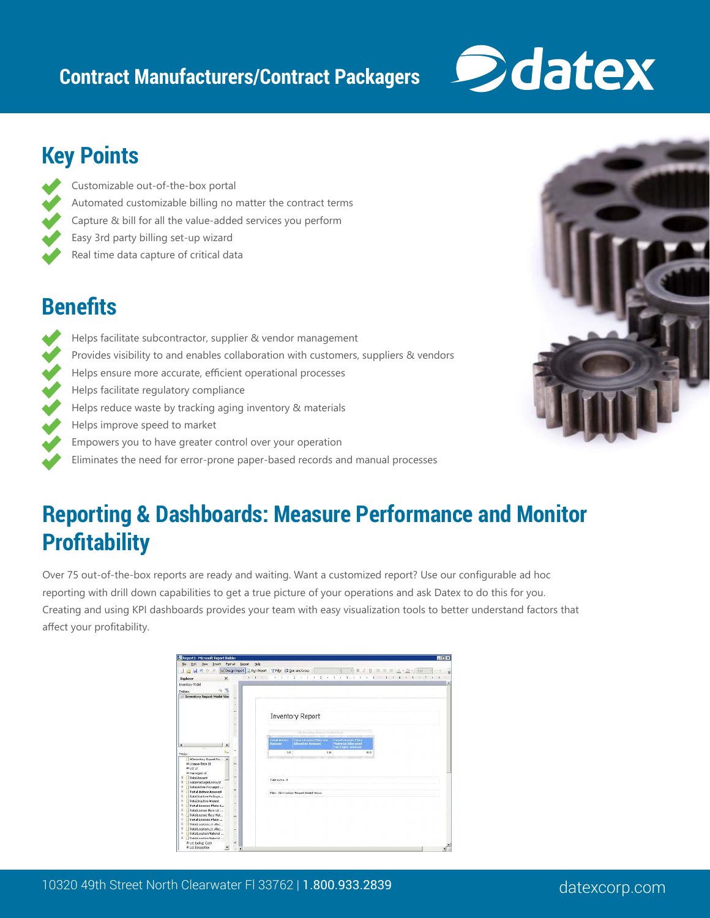### **Contract Manufacturers/Contract Packagers**



## **Key Points**

Customizable out-of-the-box portal Automated customizable billing no matter the contract terms Capture & bill for all the value-added services you perform Easy 3rd party billing set-up wizard Real time data capture of critical data

## **Benefits**

Helps facilitate subcontractor, supplier & vendor management Provides visibility to and enables collaboration with customers, suppliers & vendors Helps ensure more accurate, efficient operational processes Helps facilitate regulatory compliance Helps reduce waste by tracking aging inventory & materials Helps improve speed to market Empowers you to have greater control over your operation Eliminates the need for error-prone paper-based records and manual processes

## **Reporting & Dashboards: Measure Performance and Monitor Profitability**

Over 75 out-of-the-box reports are ready and waiting. Want a customized report? Use our configurable ad hoc reporting with drill down capabilities to get a true picture of your operations and ask Datex to do this for you. Creating and using KPI dashboards provides your team with easy visualization tools to better understand factors that affect your profitability.